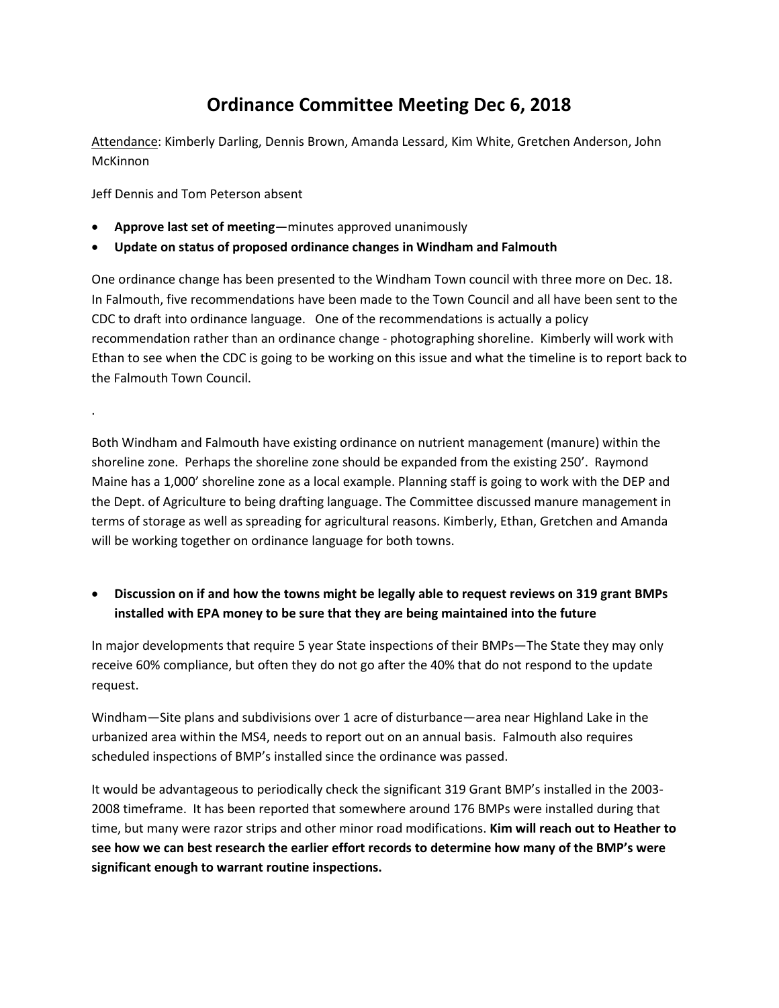## **Ordinance Committee Meeting Dec 6, 2018**

Attendance: Kimberly Darling, Dennis Brown, Amanda Lessard, Kim White, Gretchen Anderson, John **McKinnon** 

Jeff Dennis and Tom Peterson absent

.

- **Approve last set of meeting**—minutes approved unanimously
- **Update on status of proposed ordinance changes in Windham and Falmouth**

One ordinance change has been presented to the Windham Town council with three more on Dec. 18. In Falmouth, five recommendations have been made to the Town Council and all have been sent to the CDC to draft into ordinance language. One of the recommendations is actually a policy recommendation rather than an ordinance change - photographing shoreline. Kimberly will work with Ethan to see when the CDC is going to be working on this issue and what the timeline is to report back to the Falmouth Town Council.

Both Windham and Falmouth have existing ordinance on nutrient management (manure) within the shoreline zone. Perhaps the shoreline zone should be expanded from the existing 250'. Raymond Maine has a 1,000' shoreline zone as a local example. Planning staff is going to work with the DEP and the Dept. of Agriculture to being drafting language. The Committee discussed manure management in terms of storage as well as spreading for agricultural reasons. Kimberly, Ethan, Gretchen and Amanda will be working together on ordinance language for both towns.

## • **Discussion on if and how the towns might be legally able to request reviews on 319 grant BMPs installed with EPA money to be sure that they are being maintained into the future**

In major developments that require 5 year State inspections of their BMPs—The State they may only receive 60% compliance, but often they do not go after the 40% that do not respond to the update request.

Windham—Site plans and subdivisions over 1 acre of disturbance—area near Highland Lake in the urbanized area within the MS4, needs to report out on an annual basis. Falmouth also requires scheduled inspections of BMP's installed since the ordinance was passed.

It would be advantageous to periodically check the significant 319 Grant BMP's installed in the 2003- 2008 timeframe. It has been reported that somewhere around 176 BMPs were installed during that time, but many were razor strips and other minor road modifications. **Kim will reach out to Heather to see how we can best research the earlier effort records to determine how many of the BMP's were significant enough to warrant routine inspections.**